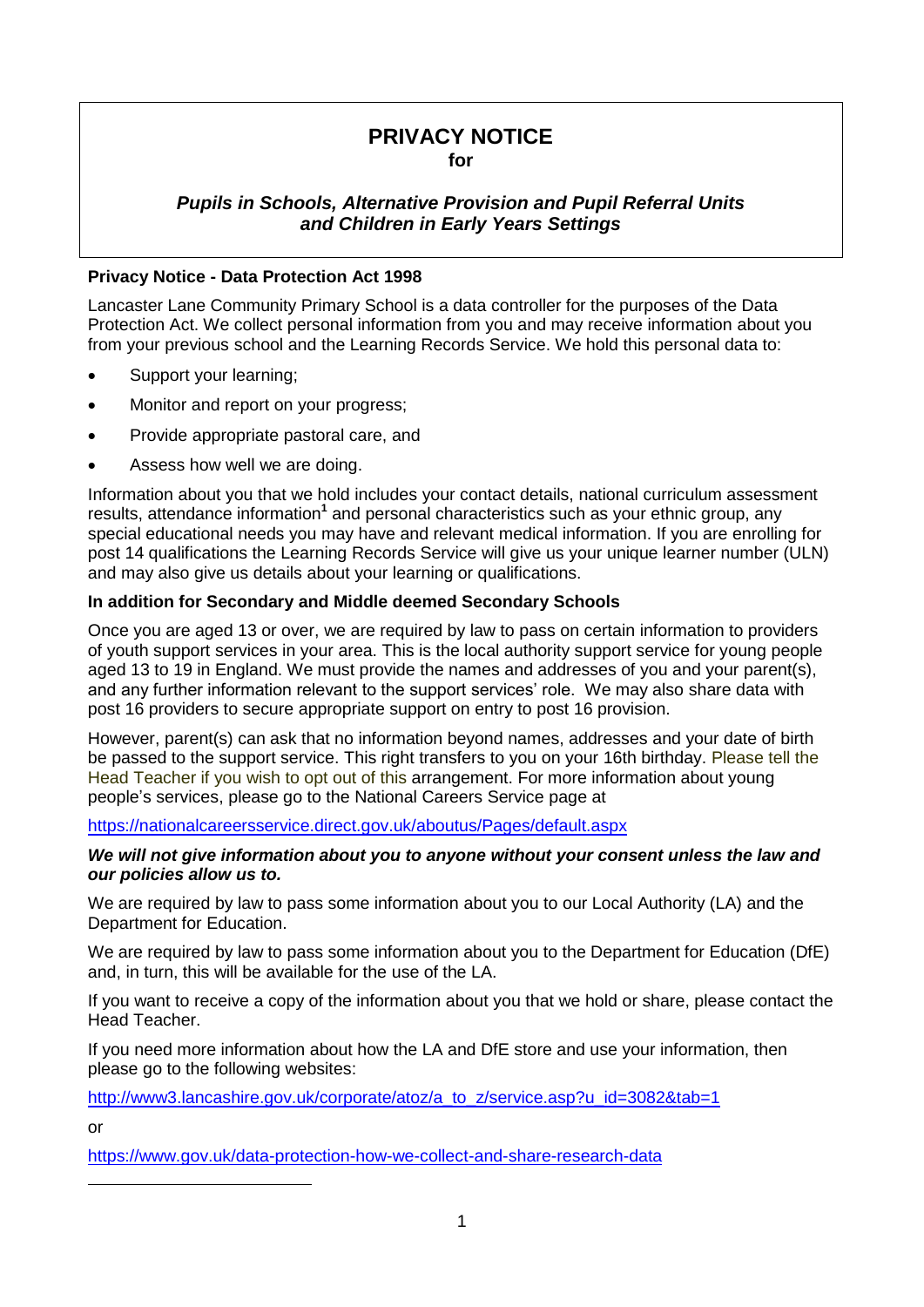# **PRIVACY NOTICE for**

## *Pupils in Schools, Alternative Provision and Pupil Referral Units and Children in Early Years Settings*

### **Privacy Notice - Data Protection Act 1998**

Lancaster Lane Community Primary School is a data controller for the purposes of the Data Protection Act. We collect personal information from you and may receive information about you from your previous school and the Learning Records Service. We hold this personal data to:

- Support your learning;
- Monitor and report on your progress;
- Provide appropriate pastoral care, and
- Assess how well we are doing.

Information about you that we hold includes your contact details, national curriculum assessment results, attendance information**<sup>1</sup>** and personal characteristics such as your ethnic group, any special educational needs you may have and relevant medical information. If you are enrolling for post 14 qualifications the Learning Records Service will give us your unique learner number (ULN) and may also give us details about your learning or qualifications.

### **In addition for Secondary and Middle deemed Secondary Schools**

Once you are aged 13 or over, we are required by law to pass on certain information to providers of youth support services in your area. This is the local authority support service for young people aged 13 to 19 in England. We must provide the names and addresses of you and your parent(s), and any further information relevant to the support services' role. We may also share data with post 16 providers to secure appropriate support on entry to post 16 provision.

However, parent(s) can ask that no information beyond names, addresses and your date of birth be passed to the support service. This right transfers to you on your 16th birthday. Please tell the Head Teacher if you wish to opt out of this arrangement. For more information about young people's services, please go to the National Careers Service page at

<https://nationalcareersservice.direct.gov.uk/aboutus/Pages/default.aspx>

#### *We will not give information about you to anyone without your consent unless the law and our policies allow us to.*

We are required by law to pass some information about you to our Local Authority (LA) and the Department for Education.

We are required by law to pass some information about you to the Department for Education (DfE) and, in turn, this will be available for the use of the LA.

If you want to receive a copy of the information about you that we hold or share, please contact the Head Teacher.

If you need more information about how the LA and DfE store and use your information, then please go to the following websites:

http://www3.lancashire.gov.uk/corporate/atoz/a\_to\_z/service.asp?u\_id=3082&tab=1

or

<u>.</u>

<https://www.gov.uk/data-protection-how-we-collect-and-share-research-data>